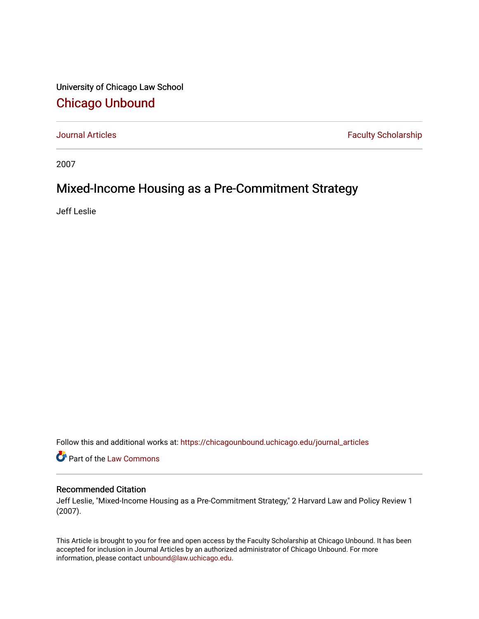University of Chicago Law School [Chicago Unbound](https://chicagounbound.uchicago.edu/)

[Journal Articles](https://chicagounbound.uchicago.edu/journal_articles) **Faculty Scholarship Faculty Scholarship** 

2007

## Mixed-Income Housing as a Pre-Commitment Strategy

Jeff Leslie

Follow this and additional works at: [https://chicagounbound.uchicago.edu/journal\\_articles](https://chicagounbound.uchicago.edu/journal_articles?utm_source=chicagounbound.uchicago.edu%2Fjournal_articles%2F395&utm_medium=PDF&utm_campaign=PDFCoverPages) 

Part of the [Law Commons](http://network.bepress.com/hgg/discipline/578?utm_source=chicagounbound.uchicago.edu%2Fjournal_articles%2F395&utm_medium=PDF&utm_campaign=PDFCoverPages)

## Recommended Citation

Jeff Leslie, "Mixed-Income Housing as a Pre-Commitment Strategy," 2 Harvard Law and Policy Review 1 (2007).

This Article is brought to you for free and open access by the Faculty Scholarship at Chicago Unbound. It has been accepted for inclusion in Journal Articles by an authorized administrator of Chicago Unbound. For more information, please contact [unbound@law.uchicago.edu](mailto:unbound@law.uchicago.edu).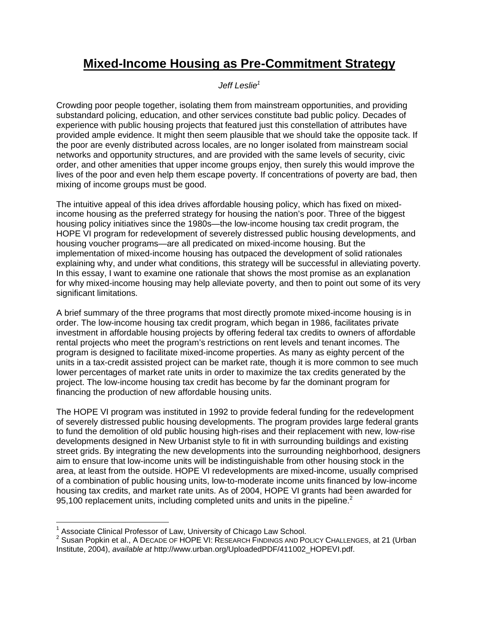## **Mixed-Income Housing as Pre-Commitment Strategy**

*Jeff Leslie1*

Crowding poor people together, isolating them from mainstream opportunities, and providing substandard policing, education, and other services constitute bad public policy. Decades of experience with public housing projects that featured just this constellation of attributes have provided ample evidence. It might then seem plausible that we should take the opposite tack. If the poor are evenly distributed across locales, are no longer isolated from mainstream social networks and opportunity structures, and are provided with the same levels of security, civic order, and other amenities that upper income groups enjoy, then surely this would improve the lives of the poor and even help them escape poverty. If concentrations of poverty are bad, then mixing of income groups must be good.

The intuitive appeal of this idea drives affordable housing policy, which has fixed on mixedincome housing as the preferred strategy for housing the nation's poor. Three of the biggest housing policy initiatives since the 1980s—the low-income housing tax credit program, the HOPE VI program for redevelopment of severely distressed public housing developments, and housing voucher programs—are all predicated on mixed-income housing. But the implementation of mixed-income housing has outpaced the development of solid rationales explaining why, and under what conditions, this strategy will be successful in alleviating poverty. In this essay, I want to examine one rationale that shows the most promise as an explanation for why mixed-income housing may help alleviate poverty, and then to point out some of its very significant limitations.

A brief summary of the three programs that most directly promote mixed-income housing is in order. The low-income housing tax credit program, which began in 1986, facilitates private investment in affordable housing projects by offering federal tax credits to owners of affordable rental projects who meet the program's restrictions on rent levels and tenant incomes. The program is designed to facilitate mixed-income properties. As many as eighty percent of the units in a tax-credit assisted project can be market rate, though it is more common to see much lower percentages of market rate units in order to maximize the tax credits generated by the project. The low-income housing tax credit has become by far the dominant program for financing the production of new affordable housing units.

The HOPE VI program was instituted in 1992 to provide federal funding for the redevelopment of severely distressed public housing developments. The program provides large federal grants to fund the demolition of old public housing high-rises and their replacement with new, low-rise developments designed in New Urbanist style to fit in with surrounding buildings and existing street grids. By integrating the new developments into the surrounding neighborhood, designers aim to ensure that low-income units will be indistinguishable from other housing stock in the area, at least from the outside. HOPE VI redevelopments are mixed-income, usually comprised of a combination of public housing units, low-to-moderate income units financed by low-income housing tax credits, and market rate units. As of 2004, HOPE VI grants had been awarded for 95,100 replacement units, including completed units and units in the pipeline. $^2$ 

 $\overline{a}$  $1$  Associate Clinical Professor of Law, University of Chicago Law School.

<sup>&</sup>lt;sup>2</sup> Susan Popkin et al., A DECADE OF HOPE VI: RESEARCH FINDINGS AND POLICY CHALLENGES, at 21 (Urban Institute, 2004), *available at* http://www.urban.org/UploadedPDF/411002\_HOPEVI.pdf.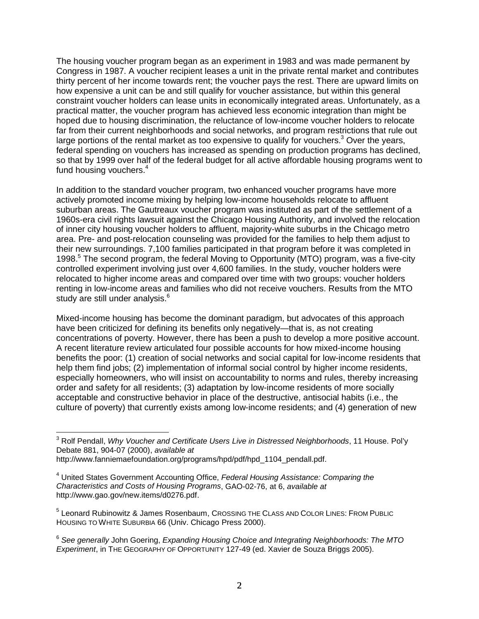The housing voucher program began as an experiment in 1983 and was made permanent by Congress in 1987. A voucher recipient leases a unit in the private rental market and contributes thirty percent of her income towards rent; the voucher pays the rest. There are upward limits on how expensive a unit can be and still qualify for voucher assistance, but within this general constraint voucher holders can lease units in economically integrated areas. Unfortunately, as a practical matter, the voucher program has achieved less economic integration than might be hoped due to housing discrimination, the reluctance of low-income voucher holders to relocate far from their current neighborhoods and social networks, and program restrictions that rule out large portions of the rental market as too expensive to qualify for vouchers.<sup>3</sup> Over the years, federal spending on vouchers has increased as spending on production programs has declined, so that by 1999 over half of the federal budget for all active affordable housing programs went to fund housing vouchers.<sup>4</sup>

In addition to the standard voucher program, two enhanced voucher programs have more actively promoted income mixing by helping low-income households relocate to affluent suburban areas. The Gautreaux voucher program was instituted as part of the settlement of a 1960s-era civil rights lawsuit against the Chicago Housing Authority, and involved the relocation of inner city housing voucher holders to affluent, majority-white suburbs in the Chicago metro area. Pre- and post-relocation counseling was provided for the families to help them adjust to their new surroundings. 7,100 families participated in that program before it was completed in 1998.<sup>5</sup> The second program, the federal Moving to Opportunity (MTO) program, was a five-city controlled experiment involving just over 4,600 families. In the study, voucher holders were relocated to higher income areas and compared over time with two groups: voucher holders renting in low-income areas and families who did not receive vouchers. Results from the MTO study are still under analysis.<sup>6</sup>

Mixed-income housing has become the dominant paradigm, but advocates of this approach have been criticized for defining its benefits only negatively—that is, as not creating concentrations of poverty. However, there has been a push to develop a more positive account. A recent literature review articulated four possible accounts for how mixed-income housing benefits the poor: (1) creation of social networks and social capital for low-income residents that help them find jobs; (2) implementation of informal social control by higher income residents, especially homeowners, who will insist on accountability to norms and rules, thereby increasing order and safety for all residents; (3) adaptation by low-income residents of more socially acceptable and constructive behavior in place of the destructive, antisocial habits (i.e., the culture of poverty) that currently exists among low-income residents; and (4) generation of new

 $\overline{a}$ 3 Rolf Pendall, *Why Voucher and Certificate Users Live in Distressed Neighborhoods*, 11 House. Pol'y Debate 881, 904-07 (2000), *available at*

http://www.fanniemaefoundation.org/programs/hpd/pdf/hpd\_1104\_pendall.pdf.

<sup>4</sup> United States Government Accounting Office, *Federal Housing Assistance: Comparing the Characteristics and Costs of Housing Programs*, GAO-02-76, at 6, *available at* http://www.gao.gov/new.items/d0276.pdf.

<sup>&</sup>lt;sup>5</sup> Leonard Rubinowitz & James Rosenbaum, Crossing THE CLASS AND COLOR LINES: FROM PUBLIC HOUSING TO WHITE SUBURBIA 66 (Univ. Chicago Press 2000).

<sup>6</sup> *See generally* John Goering, *Expanding Housing Choice and Integrating Neighborhoods: The MTO Experiment*, in THE GEOGRAPHY OF OPPORTUNITY 127-49 (ed. Xavier de Souza Briggs 2005).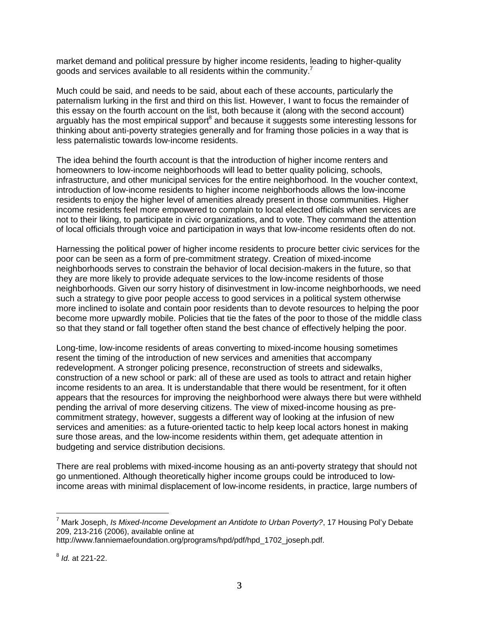market demand and political pressure by higher income residents, leading to higher-quality goods and services available to all residents within the community.<sup>7</sup>

Much could be said, and needs to be said, about each of these accounts, particularly the paternalism lurking in the first and third on this list. However, I want to focus the remainder of this essay on the fourth account on the list, both because it (along with the second account) arguably has the most empirical support<sup>8</sup> and because it suggests some interesting lessons for thinking about anti-poverty strategies generally and for framing those policies in a way that is less paternalistic towards low-income residents.

The idea behind the fourth account is that the introduction of higher income renters and homeowners to low-income neighborhoods will lead to better quality policing, schools, infrastructure, and other municipal services for the entire neighborhood. In the voucher context, introduction of low-income residents to higher income neighborhoods allows the low-income residents to enjoy the higher level of amenities already present in those communities. Higher income residents feel more empowered to complain to local elected officials when services are not to their liking, to participate in civic organizations, and to vote. They command the attention of local officials through voice and participation in ways that low-income residents often do not.

Harnessing the political power of higher income residents to procure better civic services for the poor can be seen as a form of pre-commitment strategy. Creation of mixed-income neighborhoods serves to constrain the behavior of local decision-makers in the future, so that they are more likely to provide adequate services to the low-income residents of those neighborhoods. Given our sorry history of disinvestment in low-income neighborhoods, we need such a strategy to give poor people access to good services in a political system otherwise more inclined to isolate and contain poor residents than to devote resources to helping the poor become more upwardly mobile. Policies that tie the fates of the poor to those of the middle class so that they stand or fall together often stand the best chance of effectively helping the poor.

Long-time, low-income residents of areas converting to mixed-income housing sometimes resent the timing of the introduction of new services and amenities that accompany redevelopment. A stronger policing presence, reconstruction of streets and sidewalks, construction of a new school or park: all of these are used as tools to attract and retain higher income residents to an area. It is understandable that there would be resentment, for it often appears that the resources for improving the neighborhood were always there but were withheld pending the arrival of more deserving citizens. The view of mixed-income housing as precommitment strategy, however, suggests a different way of looking at the infusion of new services and amenities: as a future-oriented tactic to help keep local actors honest in making sure those areas, and the low-income residents within them, get adequate attention in budgeting and service distribution decisions.

There are real problems with mixed-income housing as an anti-poverty strategy that should not go unmentioned. Although theoretically higher income groups could be introduced to lowincome areas with minimal displacement of low-income residents, in practice, large numbers of

 $\overline{a}$ 

<sup>7</sup> Mark Joseph, *Is Mixed-Income Development an Antidote to Urban Poverty?*, 17 Housing Pol'y Debate 209, 213-216 (2006), available online at

http://www.fanniemaefoundation.org/programs/hpd/pdf/hpd\_1702\_joseph.pdf.

<sup>8</sup> *Id.* at 221-22.